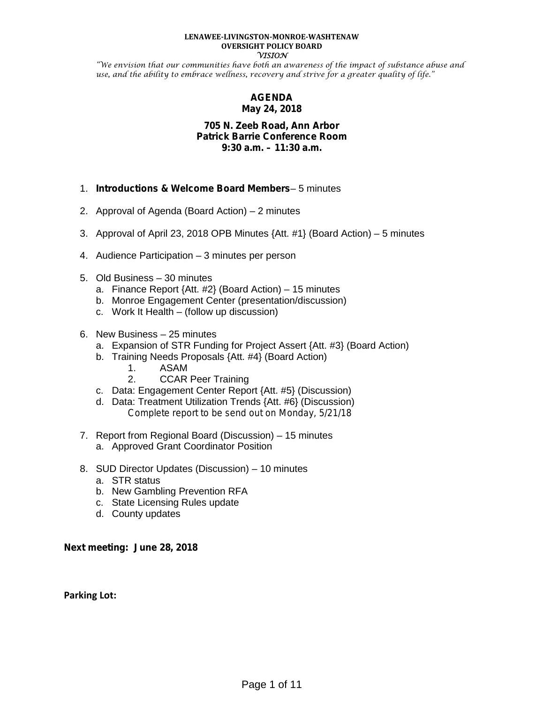#### **LENAWEE-LIVINGSTON-MONROE-WASHTENAW OVERSIGHT POLICY BOARD VISION**

"We envision that our communities have both an awareness of the impact of substance abuse and use, and the ability to embrace wellness, recovery and strive for a greater quality of life."

# **AGENDA May 24, 2018**

# **705 N. Zeeb Road, Ann Arbor Patrick Barrie Conference Room 9:30 a.m. – 11:30 a.m.**

- 1. *Introductions & Welcome Board Members* 5 minutes
- 2. Approval of Agenda (Board Action) 2 minutes
- 3. Approval of April 23, 2018 OPB Minutes {Att. #1} (Board Action) 5 minutes
- 4. Audience Participation 3 minutes per person
- 5. Old Business 30 minutes
	- a. Finance Report {Att. #2} (Board Action) 15 minutes
	- b. Monroe Engagement Center (presentation/discussion)
	- c. Work It Health (follow up discussion)
- 6. New Business 25 minutes
	- a. Expansion of STR Funding for Project Assert {Att. #3} (Board Action)
	- b. Training Needs Proposals {Att. #4} (Board Action)
		- 1. ASAM
		- 2. CCAR Peer Training
	- c. Data: Engagement Center Report {Att. #5} (Discussion)
	- d. Data: Treatment Utilization Trends {Att. #6} (Discussion) *Complete report to be send out on Monday, 5/21/18*
- 7. Report from Regional Board (Discussion) 15 minutes
	- a. Approved Grant Coordinator Position
- 8. SUD Director Updates (Discussion) 10 minutes
	- a. STR status
	- b. New Gambling Prevention RFA
	- c. State Licensing Rules update
	- d. County updates

**Next meeting: June 28, 2018**

**Parking Lot:**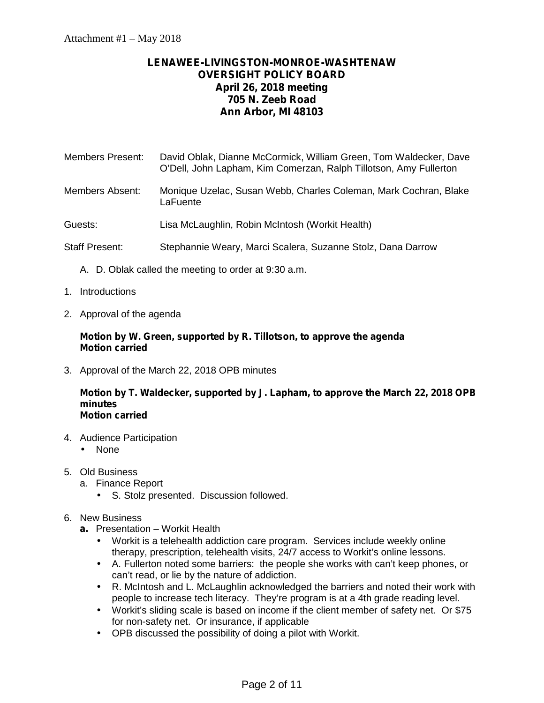# **LENAWEE-LIVINGSTON-MONROE-WASHTENAW OVERSIGHT POLICY BOARD April 26, 2018 meeting 705 N. Zeeb Road Ann Arbor, MI 48103**

| Members Present: | David Oblak, Dianne McCormick, William Green, Tom Waldecker, Dave<br>O'Dell, John Lapham, Kim Comerzan, Ralph Tillotson, Amy Fullerton |
|------------------|----------------------------------------------------------------------------------------------------------------------------------------|
|                  |                                                                                                                                        |

- Members Absent: Monique Uzelac, Susan Webb, Charles Coleman, Mark Cochran, Blake **LaFuente**
- Guests: Lisa McLaughlin, Robin McIntosh (Workit Health)
- Staff Present: Stephannie Weary, Marci Scalera, Suzanne Stolz, Dana Darrow
	- A. D. Oblak called the meeting to order at 9:30 a.m.
- 1. Introductions
- 2. Approval of the agenda

# **Motion by W. Green, supported by R. Tillotson, to approve the agenda Motion carried**

3. Approval of the March 22, 2018 OPB minutes

#### **Motion by T. Waldecker, supported by J. Lapham, to approve the March 22, 2018 OPB minutes Motion carried**

- 4. Audience Participation
	- None
- 5. Old Business
	- a. Finance Report
		- S. Stolz presented. Discussion followed.

# 6. New Business

- **a.** Presentation Workit Health
	- Workit is a telehealth addiction care program. Services include weekly online therapy, prescription, telehealth visits, 24/7 access to Workit's online lessons.
	- A. Fullerton noted some barriers: the people she works with can't keep phones, or can't read, or lie by the nature of addiction.
	- R. McIntosh and L. McLaughlin acknowledged the barriers and noted their work with people to increase tech literacy. They're program is at a 4th grade reading level.
	- Workit's sliding scale is based on income if the client member of safety net. Or \$75 for non-safety net. Or insurance, if applicable
	- OPB discussed the possibility of doing a pilot with Workit.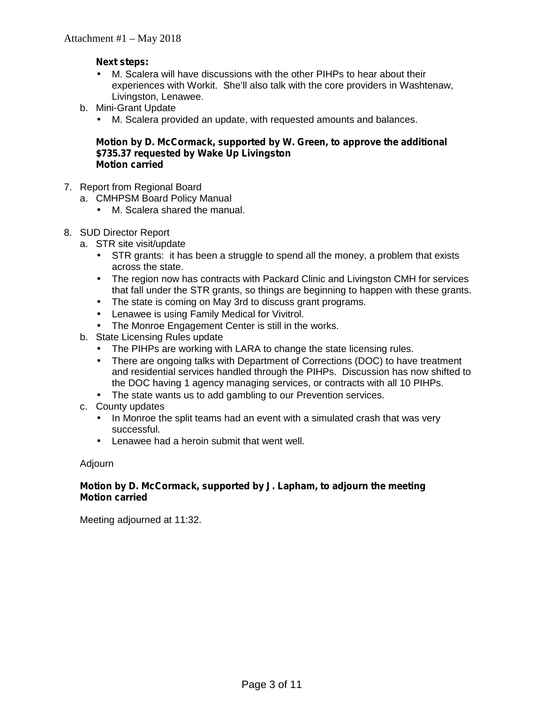# **Next steps:**

- M. Scalera will have discussions with the other PIHPs to hear about their experiences with Workit. She'll also talk with the core providers in Washtenaw, Livingston, Lenawee.
- b. Mini-Grant Update
	- M. Scalera provided an update, with requested amounts and balances.

# **Motion by D. McCormack, supported by W. Green, to approve the additional \$735.37 requested by Wake Up Livingston Motion carried**

- 7. Report from Regional Board
	- a. CMHPSM Board Policy Manual
		- M. Scalera shared the manual.
- 8. SUD Director Report
	- a. STR site visit/update
		- STR grants: it has been a struggle to spend all the money, a problem that exists across the state.
		- The region now has contracts with Packard Clinic and Livingston CMH for services that fall under the STR grants, so things are beginning to happen with these grants.
		- The state is coming on May 3rd to discuss grant programs.
		- Lenawee is using Family Medical for Vivitrol.
		- The Monroe Engagement Center is still in the works.
	- b. State Licensing Rules update
		- The PIHPs are working with LARA to change the state licensing rules.
		- There are ongoing talks with Department of Corrections (DOC) to have treatment and residential services handled through the PIHPs. Discussion has now shifted to the DOC having 1 agency managing services, or contracts with all 10 PIHPs.
		- The state wants us to add gambling to our Prevention services.
	- c. County updates
		- In Monroe the split teams had an event with a simulated crash that was very successful.
		- Lenawee had a heroin submit that went well.

## Adjourn

# **Motion by D. McCormack, supported by J. Lapham, to adjourn the meeting Motion carried**

Meeting adjourned at 11:32.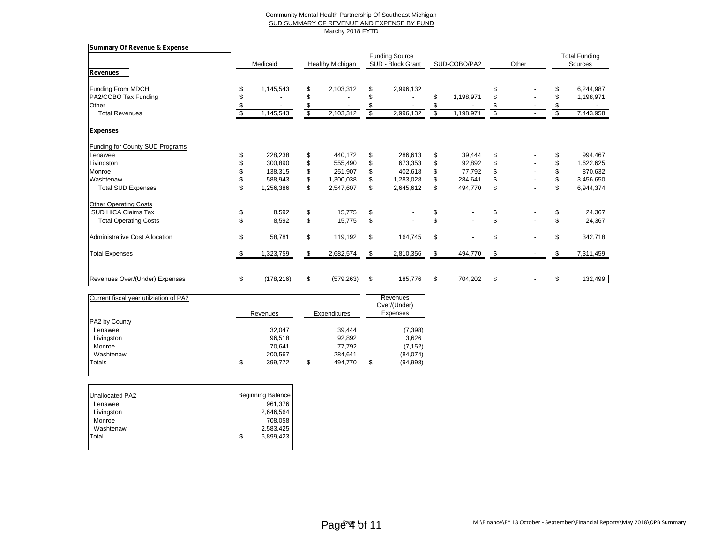#### Community Mental Health Partnership Of Southeast Michigan SUD SUMMARY OF REVENUE AND EXPENSE BY FUND Marchy 2018 FYTD

| <b>Summary Of Revenue &amp; Expense</b> |                  |                         |                  |                          |                       |                         |              |                         |       |     |                      |
|-----------------------------------------|------------------|-------------------------|------------------|--------------------------|-----------------------|-------------------------|--------------|-------------------------|-------|-----|----------------------|
|                                         |                  |                         |                  |                          | <b>Funding Source</b> |                         |              |                         |       |     | <b>Total Funding</b> |
|                                         | Medicaid         |                         | Healthy Michigan |                          | SUD - Block Grant     |                         | SUD-COBO/PA2 |                         | Other |     | Sources              |
| <b>Revenues</b>                         |                  |                         |                  |                          |                       |                         |              |                         |       |     |                      |
| Funding From MDCH                       | 1,145,543        | \$                      | 2,103,312        | \$                       | 2,996,132             |                         |              | S                       |       |     | 6,244,987            |
| PA2/COBO Tax Funding                    |                  | \$                      |                  |                          |                       | \$                      | 1,198,971    | \$                      |       |     | 1,198,971            |
| Other                                   |                  |                         |                  |                          |                       |                         |              |                         |       |     |                      |
| <b>Total Revenues</b>                   | 1,145,543        | $\overline{\mathbb{S}}$ | 2,103,312        | \$                       | 2,996,132             | \$                      | 1,198,971    | $\mathsf{s}$            |       | \$  | 7,443,958            |
| <b>Expenses</b>                         |                  |                         |                  |                          |                       |                         |              |                         |       |     |                      |
| Funding for County SUD Programs         |                  |                         |                  |                          |                       |                         |              |                         |       |     |                      |
| Lenawee                                 | 228,238          | \$                      | 440,172          | \$                       | 286,613               | \$                      | 39,444       | \$                      |       |     | 994,467              |
| Livingston                              | 300,890          | \$                      | 555,490          | \$                       | 673,353               | \$                      | 92,892       | \$                      |       | \$  | 1,622,625            |
| Monroe                                  | 138,315          | \$                      | 251,907          | \$                       | 402,618               | \$                      | 77,792       | \$                      |       | \$  | 870,632              |
| Washtenaw                               | 588,943          | \$                      | 1,300,038        | \$                       | 1,283,028             | \$                      | 284,641      | \$                      |       | \$  | 3,456,650            |
| <b>Total SUD Expenses</b>               | ,256,386         | $\overline{\mathbb{S}}$ | 2,547,607        | \$                       | 2,645,612             | \$                      | 494,770      | $\overline{\mathbb{S}}$ |       | \$  | 6,944,374            |
| <b>Other Operating Costs</b>            |                  |                         |                  |                          |                       |                         |              |                         |       |     |                      |
| <b>SUD HICA Claims Tax</b>              | 8,592            | \$                      | 15,775           | \$                       |                       | \$                      |              | \$                      |       |     | 24,367               |
| <b>Total Operating Costs</b>            | 8,592            | \$                      | 15,775           | $\overline{\mathcal{S}}$ |                       | $\overline{\mathbb{S}}$ |              | $\overline{\mathbf{s}}$ |       |     | 24,367               |
| <b>Administrative Cost Allocation</b>   | \$<br>58,781     | \$                      | 119,192          | \$                       | 164,745               | \$                      |              | \$                      |       | \$. | 342,718              |
| <b>Total Expenses</b>                   | 1,323,759        | \$                      | 2,682,574        | \$                       | 2,810,356             | \$                      | 494,770      | \$                      |       | S   | 7,311,459            |
|                                         |                  |                         |                  |                          |                       |                         |              |                         |       |     |                      |
| Revenues Over/(Under) Expenses          | \$<br>(178, 216) | \$                      | (579, 263)       | \$                       | 185,776               | \$                      | 704,202      | \$                      |       | \$  | 132,499              |

| Current fiscal year utilziation of PA2 | Revenues | <b>Expenditures</b> | Revenues<br>Over/(Under)<br>Expenses |
|----------------------------------------|----------|---------------------|--------------------------------------|
| PA2 by County                          |          |                     |                                      |
| Lenawee                                | 32.047   | 39.444              | (7, 398)                             |
| Livingston                             | 96,518   | 92,892              | 3,626                                |
| Monroe                                 | 70.641   | 77,792              | (7, 152)                             |
| Washtenaw                              | 200,567  | 284,641             | (84,074)                             |
| Totals                                 | 399,772  | 494.770             | (94, 998)                            |

| Unallocated PA2 | Beginning Balance |
|-----------------|-------------------|
| Lenawee         | 961,376           |
| Livingston      | 2,646,564         |
| Monroe          | 708,058           |
| Washtenaw       | 2,583,425         |
| Total           | 6,899,423         |
|                 |                   |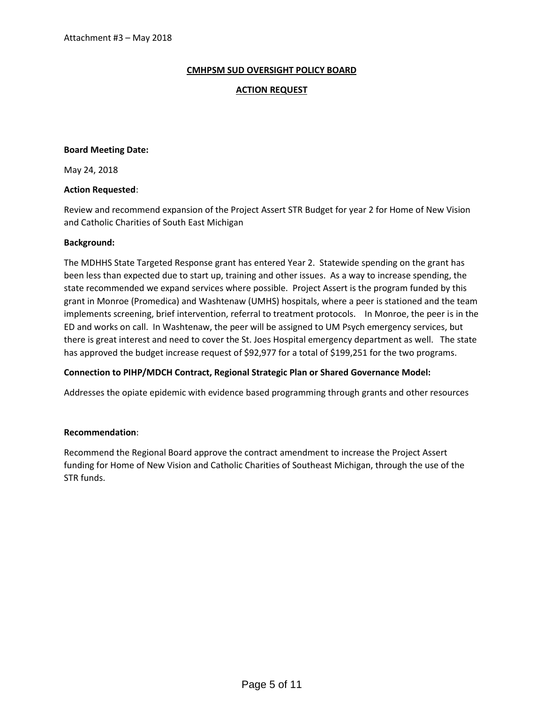## **CMHPSM SUD OVERSIGHT POLICY BOARD**

## **ACTION REQUEST**

#### **Board Meeting Date:**

May 24, 2018

#### **Action Requested**:

Review and recommend expansion of the Project Assert STR Budget for year 2 for Home of New Vision and Catholic Charities of South East Michigan

#### **Background:**

The MDHHS State Targeted Response grant has entered Year 2. Statewide spending on the grant has been less than expected due to start up, training and other issues. As a way to increase spending, the state recommended we expand services where possible. Project Assert is the program funded by this grant in Monroe (Promedica) and Washtenaw (UMHS) hospitals, where a peer is stationed and the team implements screening, brief intervention, referral to treatment protocols. In Monroe, the peer is in the ED and works on call. In Washtenaw, the peer will be assigned to UM Psych emergency services, but there is great interest and need to cover the St. Joes Hospital emergency department as well. The state has approved the budget increase request of \$92,977 for a total of \$199,251 for the two programs.

## **Connection to PIHP/MDCH Contract, Regional Strategic Plan or Shared Governance Model:**

Addresses the opiate epidemic with evidence based programming through grants and other resources

## **Recommendation**:

Recommend the Regional Board approve the contract amendment to increase the Project Assert funding for Home of New Vision and Catholic Charities of Southeast Michigan, through the use of the STR funds.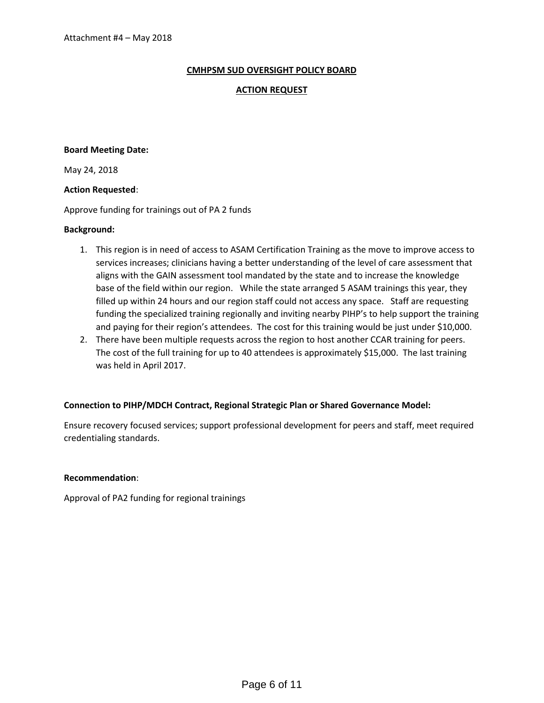## **CMHPSM SUD OVERSIGHT POLICY BOARD**

## **ACTION REQUEST**

#### **Board Meeting Date:**

May 24, 2018

## **Action Requested**:

Approve funding for trainings out of PA 2 funds

## **Background:**

- 1. This region is in need of access to ASAM Certification Training as the move to improve access to services increases; clinicians having a better understanding of the level of care assessment that aligns with the GAIN assessment tool mandated by the state and to increase the knowledge base of the field within our region. While the state arranged 5 ASAM trainings this year, they filled up within 24 hours and our region staff could not access any space. Staff are requesting funding the specialized training regionally and inviting nearby PIHP's to help support the training and paying for their region's attendees. The cost for this training would be just under \$10,000.
- 2. There have been multiple requests across the region to host another CCAR training for peers. The cost of the full training for up to 40 attendees is approximately \$15,000. The last training was held in April 2017.

## **Connection to PIHP/MDCH Contract, Regional Strategic Plan or Shared Governance Model:**

Ensure recovery focused services; support professional development for peers and staff, meet required credentialing standards.

## **Recommendation**:

Approval of PA2 funding for regional trainings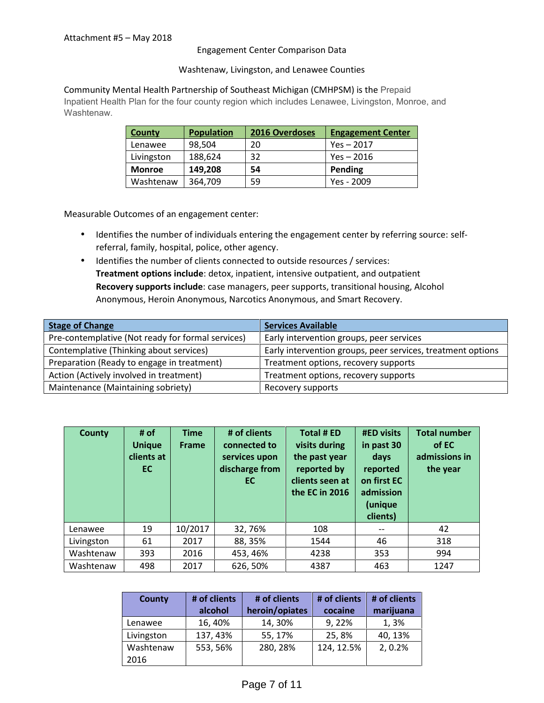#### Engagement Center Comparison Data

#### Washtenaw, Livingston, and Lenawee Counties

#### Community Mental Health Partnership of Southeast Michigan (CMHPSM) is the Prepaid

Inpatient Health Plan for the four county region which includes Lenawee, Livingston, Monroe, and Washtenaw.

| <b>County</b> | <b>Population</b> | 2016 Overdoses | <b>Engagement Center</b> |
|---------------|-------------------|----------------|--------------------------|
| Lenawee       | 98.504            | 20             | $Yes - 2017$             |
| Livingston    | 188,624           | 32             | Yes - 2016               |
| <b>Monroe</b> | 149.208           | 54             | Pending                  |
| Washtenaw     | 364,709           | 59             | Yes - 2009               |

Measurable Outcomes of an engagement center:

- Identifies the number of individuals entering the engagement center by referring source: self referral, family, hospital, police, other agency.
- $\int$  Identifies the number of clients connected to outside resources / services: **Treatment options include**: detox, inpatient, intensive outpatient, and outpatient **Recovery supports include**: case managers, peer supports, transitional housing, Alcohol Anonymous, Heroin Anonymous, Narcotics Anonymous, and Smart Recovery.

| <b>Stage of Change</b>                            | <b>Services Available</b>                                   |
|---------------------------------------------------|-------------------------------------------------------------|
| Pre-contemplative (Not ready for formal services) | Early intervention groups, peer services                    |
| Contemplative (Thinking about services)           | Early intervention groups, peer services, treatment options |
| Preparation (Ready to engage in treatment)        | Treatment options, recovery supports                        |
| Action (Actively involved in treatment)           | Treatment options, recovery supports                        |
| Maintenance (Maintaining sobriety)                | Recovery supports                                           |

| <b>County</b> | # of<br><b>Unique</b><br>clients at<br>EC | <b>Time</b><br><b>Frame</b> | # of clients<br>connected to<br>services upon<br>discharge from<br>EC. | Total # ED<br>visits during<br>the past year<br>reported by<br>clients seen at<br>the EC in 2016 | <b>#ED visits</b><br>in past 30<br>days<br>reported<br>on first EC<br>admission<br>(unique<br>clients) | <b>Total number</b><br>of EC<br>admissions in<br>the year |
|---------------|-------------------------------------------|-----------------------------|------------------------------------------------------------------------|--------------------------------------------------------------------------------------------------|--------------------------------------------------------------------------------------------------------|-----------------------------------------------------------|
| Lenawee       | 19                                        | 10/2017                     | 32,76%                                                                 | 108                                                                                              | $\qquad \qquad -$                                                                                      | 42                                                        |
| Livingston    | 61                                        | 2017                        | 88, 35%                                                                | 1544                                                                                             | 46                                                                                                     | 318                                                       |
| Washtenaw     | 393                                       | 2016                        | 453, 46%                                                               | 4238                                                                                             | 353                                                                                                    | 994                                                       |
| Washtenaw     | 498                                       | 2017                        | 626, 50%                                                               | 4387                                                                                             | 463                                                                                                    | 1247                                                      |

| <b>County</b> | # of clients<br>alcohol | # of clients<br>heroin/opiates | # of clients<br>cocaine | # of clients<br>marijuana |
|---------------|-------------------------|--------------------------------|-------------------------|---------------------------|
| Lenawee       | 16, 40%                 | 14, 30%                        | 9, 22%                  | 1,3%                      |
| Livingston    | 137, 43%                | 55, 17%                        | 25,8%                   | 40, 13%                   |
| Washtenaw     | 553, 56%                | 280, 28%                       | 124, 12.5%              | 2, 0.2%                   |
| 2016          |                         |                                |                         |                           |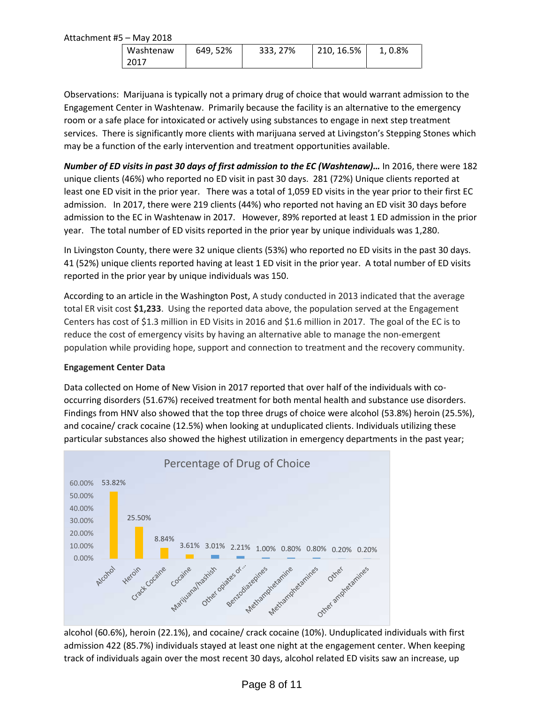Attachment #5 – May 2018

| Washtenaw | 649, 52% | 333, 27% | 210, 16.5% | 1, 0.8% |
|-----------|----------|----------|------------|---------|
| 2017      |          |          |            |         |

Observations: Marijuana is typically not a primary drug of choice that would warrant admission to the Engagement Center in Washtenaw. Primarily because the facility is an alternative to the emergency room or a safe place for intoxicated or actively using substances to engage in next step treatment services. There is significantly more clients with marijuana served at Livingston's Stepping Stones which may be a function of the early intervention and treatment opportunities available.

*Number of ED visits in past 30 days of first admission to the EC (Washtenaw)... In 2016, there were 182* unique clients (46%) who reported no ED visit in past 30 days. 281 (72%) Unique clients reported at least one ED visit in the prior year. There was a total of 1,059 ED visits in the year prior to their first EC admission. In 2017, there were 219 clients (44%) who reported not having an ED visit 30 days before admission to the EC in Washtenaw in 2017. However, 89% reported at least 1 ED admission in the prior year. The total number of ED visits reported in the prior year by unique individuals was 1,280.

In Livingston County, there were 32 unique clients (53%) who reported no ED visits in the past 30 days. 41 (52%) unique clients reported having at least 1 ED visit in the prior year. A total number of ED visits reported in the prior year by unique individuals was 150.

According to an article in the Washington Post, A study conducted in 2013 indicated that the average total ER visit cost **\$1,233**. Using the reported data above, the population served at the Engagement Centers has cost of \$1.3 million in ED Visits in 2016 and \$1.6 million in 2017. The goal of the EC is to reduce the cost of emergency visits by having an alternative able to manage the non-emergent population while providing hope, support and connection to treatment and the recovery community.

## **Engagement Center Data**

Data collected on Home of New Vision in 2017 reported that over half of the individuals with co occurring disorders (51.67%) received treatment for both mental health and substance use disorders. Findings from HNV also showed that the top three drugs of choice were alcohol (53.8%) heroin (25.5%), and cocaine/ crack cocaine (12.5%) when looking at unduplicated clients. Individuals utilizing these particular substances also showed the highest utilization in emergency departments in the past year;



alcohol (60.6%), heroin (22.1%), and cocaine/ crack cocaine (10%). Unduplicated individuals with first admission 422 (85.7%) individuals stayed at least one night at the engagement center. When keeping track of individuals again over the most recent 30 days, alcohol related ED visits saw an increase, up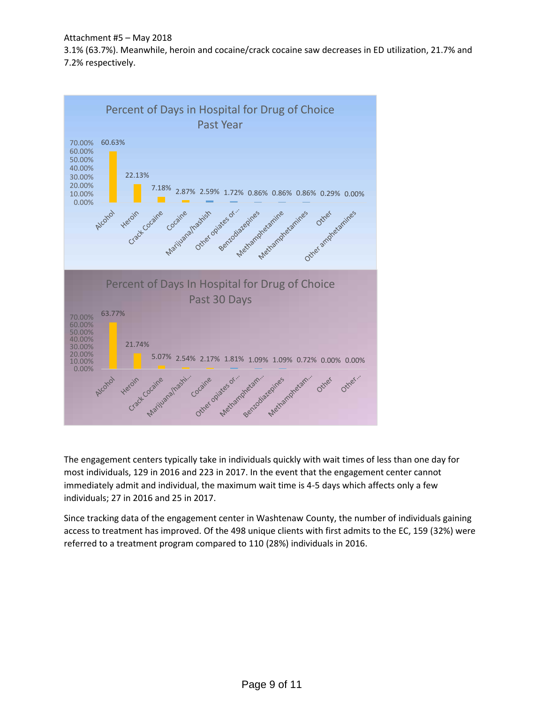Attachment #5 – May 2018

3.1% (63.7%). Meanwhile, heroin and cocaine/crack cocaine saw decreases in ED utilization, 21.7% and 7.2% respectively.



The engagement centers typically take in individuals quickly with wait times of less than one day for most individuals, 129 in 2016 and 223 in 2017. In the event that the engagement center cannot immediately admit and individual, the maximum wait time is 4-5 days which affects only a few individuals; 27 in 2016 and 25 in 2017.

Since tracking data of the engagement center in Washtenaw County, the number of individuals gaining access to treatment has improved. Of the 498 unique clients with first admits to the EC, 159 (32%) were referred to a treatment program compared to 110 (28%) individuals in 2016.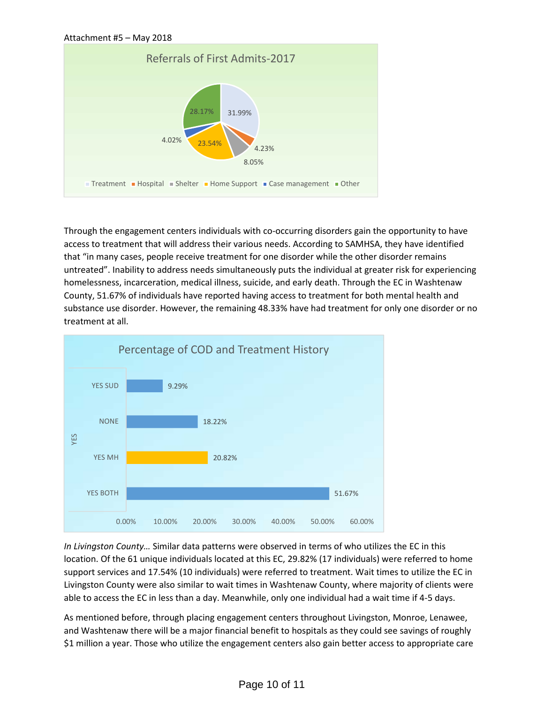

Through the engagement centers individuals with co-occurring disorders gain the opportunity to have access to treatment that will address their various needs. According to SAMHSA, they have identified that "in many cases, people receive treatment for one disorder while the other disorder remains untreated". Inability to address needs simultaneously puts the individual at greater risk for experiencing homelessness, incarceration, medical illness, suicide, and early death. Through the EC in Washtenaw County, 51.67% of individuals have reported having access to treatment for both mental health and substance use disorder. However, the remaining 48.33% have had treatment for only one disorder or no treatment at all.



*In Livingston County…* Similar data patterns were observed in terms of who utilizes the EC in this location. Of the 61 unique individuals located at this EC, 29.82% (17 individuals) were referred to home support services and 17.54% (10 individuals) were referred to treatment. Wait times to utilize the EC in Livingston County were also similar to wait times in Washtenaw County, where majority of clients were able to access the EC in less than a day. Meanwhile, only one individual had a wait time if 4-5 days.

As mentioned before, through placing engagement centers throughout Livingston, Monroe, Lenawee, and Washtenaw there will be a major financial benefit to hospitals as they could see savings of roughly \$1 million a year. Those who utilize the engagement centers also gain better access to appropriate care